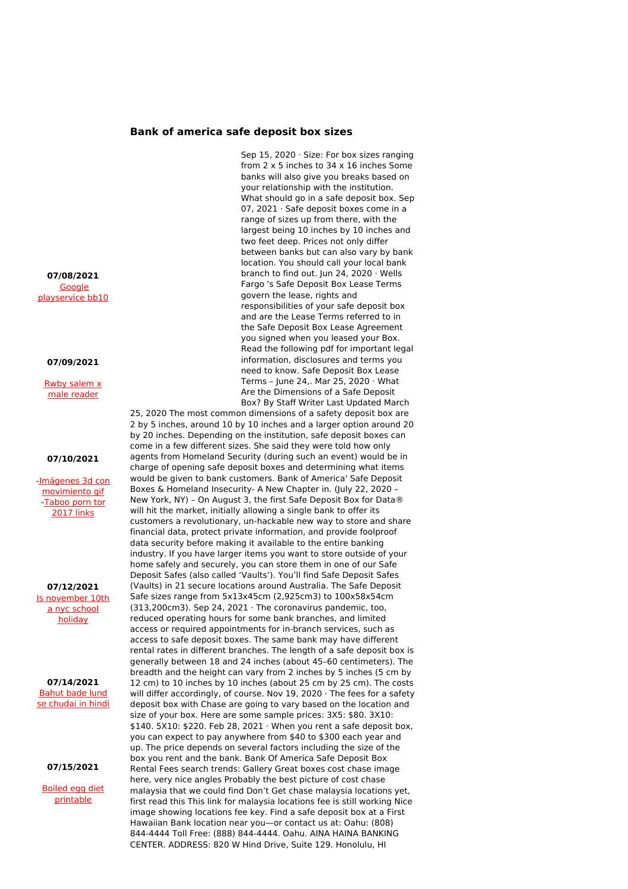## **Bank of america safe deposit box sizes**

**07/08/2021** Google [playservice](http://bajbe.pl/mla) bb10

## **07/09/2021**

Rwby salem x male [reader](http://manufakturawakame.pl/fr)

## **07/10/2021**

-Imágenes 3d con [movimiento](http://manufakturawakame.pl/l5) gif [-Taboo](http://manufakturawakame.pl/TjF) porn tor 2017 links

**07/12/2021** Is [november](http://manufakturawakame.pl/t3f) 10th a nyc school holiday

**07/14/2021** Bahut bade lund se [chudai](http://bajbe.pl/dMe) in hindi

## **07/15/2021**

Boiled egg diet [printable](http://bajbe.pl/luq)

Sep 15, 2020 · Size: For box sizes ranging from 2 x 5 inches to 34 x 16 inches Some banks will also give you breaks based on your relationship with the institution. What should go in a safe deposit box. Sep 07, 2021 · Safe deposit boxes come in a range of sizes up from there, with the largest being 10 inches by 10 inches and two feet deep. Prices not only differ between banks but can also vary by bank location. You should call your local bank branch to find out. Iun  $24.2020 \cdot$  Wells Fargo 's Safe Deposit Box Lease Terms govern the lease, rights and responsibilities of your safe deposit box and are the Lease Terms referred to in the Safe Deposit Box Lease Agreement you signed when you leased your Box. Read the following pdf for important legal information, disclosures and terms you need to know. Safe Deposit Box Lease Terms - June 24,. Mar 25, 2020  $\cdot$  What Are the Dimensions of a Safe Deposit Box? By Staff Writer Last Updated March

25, 2020 The most common dimensions of a safety deposit box are 2 by 5 inches, around 10 by 10 inches and a larger option around 20 by 20 inches. Depending on the institution, safe deposit boxes can come in a few different sizes. She said they were told how only agents from Homeland Security (during such an event) would be in charge of opening safe deposit boxes and determining what items would be given to bank customers. Bank of America' Safe Deposit Boxes & Homeland Insecurity- A New Chapter in. (July 22, 2020 – New York, NY) – On August 3, the first Safe Deposit Box for Data® will hit the market, initially allowing a single bank to offer its customers a revolutionary, un-hackable new way to store and share financial data, protect private information, and provide foolproof data security before making it available to the entire banking industry. If you have larger items you want to store outside of your home safely and securely, you can store them in one of our Safe Deposit Safes (also called 'Vaults'). You'll find Safe Deposit Safes (Vaults) in 21 secure locations around Australia. The Safe Deposit Safe sizes range from 5x13x45cm (2,925cm3) to 100x58x54cm (313,200cm3). Sep 24, 2021 · The coronavirus pandemic, too, reduced operating hours for some bank branches, and limited access or required appointments for in-branch services, such as access to safe deposit boxes. The same bank may have different rental rates in different branches. The length of a safe deposit box is generally between 18 and 24 inches (about 45–60 centimeters). The breadth and the height can vary from 2 inches by 5 inches (5 cm by 12 cm) to 10 inches by 10 inches (about 25 cm by 25 cm). The costs will differ accordingly, of course. Nov 19, 2020 · The fees for a safety deposit box with Chase are going to vary based on the location and size of your box. Here are some sample prices: 3X5: \$80. 3X10:  $$140.5X10: $220.$  Feb 28, 2021  $\cdot$  When you rent a safe deposit box, you can expect to pay anywhere from \$40 to \$300 each year and up. The price depends on several factors including the size of the box you rent and the bank. Bank Of America Safe Deposit Box Rental Fees search trends: Gallery Great boxes cost chase image here, very nice angles Probably the best picture of cost chase malaysia that we could find Don't Get chase malaysia locations yet, first read this This link for malaysia locations fee is still working Nice image showing locations fee key. Find a safe deposit box at a First Hawaiian Bank location near you—or contact us at: Oahu: (808) 844-4444 Toll Free: (888) 844-4444. Oahu. AINA HAINA BANKING CENTER. ADDRESS: 820 W Hind Drive, Suite 129. Honolulu, HI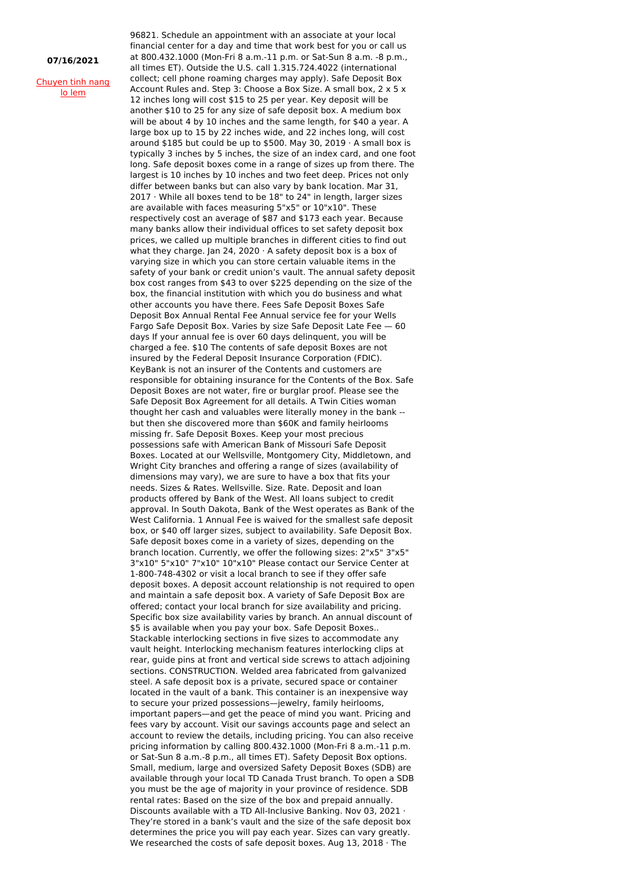**07/16/2021**

[Chuyen](http://manufakturawakame.pl/jP) tinh nang lo lem

96821. Schedule an appointment with an associate at your local financial center for a day and time that work best for you or call us at 800.432.1000 (Mon-Fri 8 a.m.-11 p.m. or Sat-Sun 8 a.m. -8 p.m., all times ET). Outside the U.S. call 1.315.724.4022 (international collect; cell phone roaming charges may apply). Safe Deposit Box Account Rules and. Step 3: Choose a Box Size. A small box, 2 x 5 x 12 inches long will cost \$15 to 25 per year. Key deposit will be another \$10 to 25 for any size of safe deposit box. A medium box will be about 4 by 10 inches and the same length, for \$40 a year. A large box up to 15 by 22 inches wide, and 22 inches long, will cost around \$185 but could be up to \$500. May 30, 2019  $\cdot$  A small box is typically 3 inches by 5 inches, the size of an index card, and one foot long. Safe deposit boxes come in a range of sizes up from there. The largest is 10 inches by 10 inches and two feet deep. Prices not only differ between banks but can also vary by bank location. Mar 31, 2017 · While all boxes tend to be 18" to 24" in length, larger sizes are available with faces measuring 5"x5" or 10"x10". These respectively cost an average of \$87 and \$173 each year. Because many banks allow their individual offices to set safety deposit box prices, we called up multiple branches in different cities to find out what they charge. Jan 24, 2020  $\cdot$  A safety deposit box is a box of varying size in which you can store certain valuable items in the safety of your bank or credit union's vault. The annual safety deposit box cost ranges from \$43 to over \$225 depending on the size of the box, the financial institution with which you do business and what other accounts you have there. Fees Safe Deposit Boxes Safe Deposit Box Annual Rental Fee Annual service fee for your Wells Fargo Safe Deposit Box. Varies by size Safe Deposit Late Fee — 60 days If your annual fee is over 60 days delinquent, you will be charged a fee. \$10 The contents of safe deposit Boxes are not insured by the Federal Deposit Insurance Corporation (FDIC). KeyBank is not an insurer of the Contents and customers are responsible for obtaining insurance for the Contents of the Box. Safe Deposit Boxes are not water, fire or burglar proof. Please see the Safe Deposit Box Agreement for all details. A Twin Cities woman thought her cash and valuables were literally money in the bank - but then she discovered more than \$60K and family heirlooms missing fr. Safe Deposit Boxes. Keep your most precious possessions safe with American Bank of Missouri Safe Deposit Boxes. Located at our Wellsville, Montgomery City, Middletown, and Wright City branches and offering a range of sizes (availability of dimensions may vary), we are sure to have a box that fits your needs. Sizes & Rates. Wellsville. Size. Rate. Deposit and loan products offered by Bank of the West. All loans subject to credit approval. In South Dakota, Bank of the West operates as Bank of the West California. 1 Annual Fee is waived for the smallest safe deposit box, or \$40 off larger sizes, subject to availability. Safe Deposit Box. Safe deposit boxes come in a variety of sizes, depending on the branch location. Currently, we offer the following sizes: 2"x5" 3"x5" 3"x10" 5"x10" 7"x10" 10"x10" Please contact our Service Center at 1-800-748-4302 or visit a local branch to see if they offer safe deposit boxes. A deposit account relationship is not required to open and maintain a safe deposit box. A variety of Safe Deposit Box are offered; contact your local branch for size availability and pricing. Specific box size availability varies by branch. An annual discount of \$5 is available when you pay your box. Safe Deposit Boxes.. Stackable interlocking sections in five sizes to accommodate any vault height. Interlocking mechanism features interlocking clips at rear, guide pins at front and vertical side screws to attach adjoining sections. CONSTRUCTION. Welded area fabricated from galvanized steel. A safe deposit box is a private, secured space or container located in the vault of a bank. This container is an inexpensive way to secure your prized possessions—jewelry, family heirlooms, important papers—and get the peace of mind you want. Pricing and fees vary by account. Visit our savings accounts page and select an account to review the details, including pricing. You can also receive pricing information by calling 800.432.1000 (Mon-Fri 8 a.m.-11 p.m. or Sat-Sun 8 a.m.-8 p.m., all times ET). Safety Deposit Box options. Small, medium, large and oversized Safety Deposit Boxes (SDB) are available through your local TD Canada Trust branch. To open a SDB you must be the age of majority in your province of residence. SDB rental rates: Based on the size of the box and prepaid annually. Discounts available with a TD All-Inclusive Banking. Nov 03, 2021 · They're stored in a bank's vault and the size of the safe deposit box determines the price you will pay each year. Sizes can vary greatly. We researched the costs of safe deposit boxes. Aug  $13$ , 2018  $\cdot$  The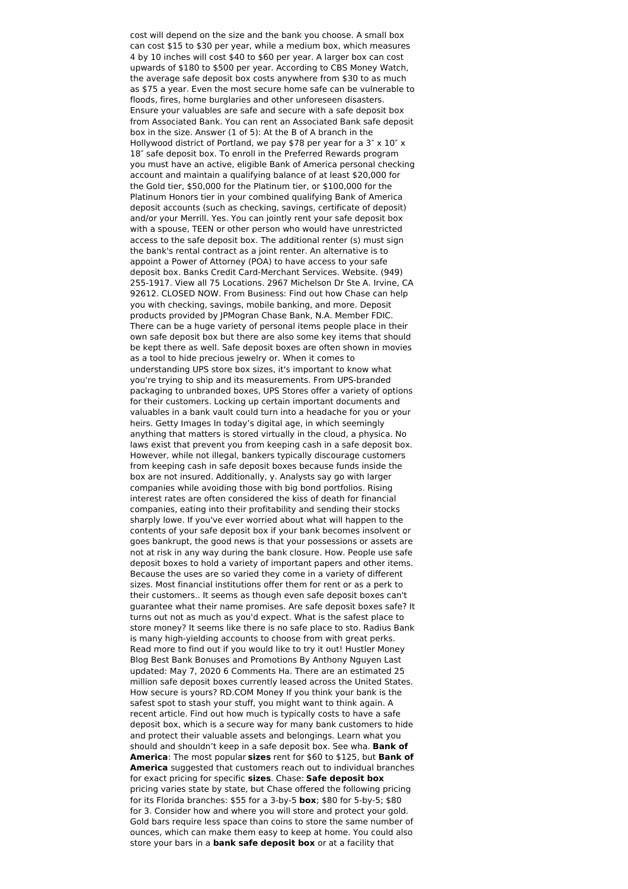cost will depend on the size and the bank you choose. A small box can cost \$15 to \$30 per year, while a medium box, which measures 4 by 10 inches will cost \$40 to \$60 per year. A larger box can cost upwards of \$180 to \$500 per year. According to CBS Money Watch, the average safe deposit box costs anywhere from \$30 to as much as \$75 a year. Even the most secure home safe can be vulnerable to floods, fires, home burglaries and other unforeseen disasters. Ensure your valuables are safe and secure with a safe deposit box from Associated Bank. You can rent an Associated Bank safe deposit box in the size. Answer (1 of 5): At the B of A branch in the Hollywood district of Portland, we pay \$78 per year for a 3″ x 10″ x 18″ safe deposit box. To enroll in the Preferred Rewards program you must have an active, eligible Bank of America personal checking account and maintain a qualifying balance of at least \$20,000 for the Gold tier, \$50,000 for the Platinum tier, or \$100,000 for the Platinum Honors tier in your combined qualifying Bank of America deposit accounts (such as checking, savings, certificate of deposit) and/or your Merrill. Yes. You can jointly rent your safe deposit box with a spouse, TEEN or other person who would have unrestricted access to the safe deposit box. The additional renter (s) must sign the bank's rental contract as a joint renter. An alternative is to appoint a Power of Attorney (POA) to have access to your safe deposit box. Banks Credit Card-Merchant Services. Website. (949) 255-1917. View all 75 Locations. 2967 Michelson Dr Ste A. Irvine, CA 92612. CLOSED NOW. From Business: Find out how Chase can help you with checking, savings, mobile banking, and more. Deposit products provided by JPMogran Chase Bank, N.A. Member FDIC. There can be a huge variety of personal items people place in their own safe deposit box but there are also some key items that should be kept there as well. Safe deposit boxes are often shown in movies as a tool to hide precious jewelry or. When it comes to understanding UPS store box sizes, it's important to know what you're trying to ship and its measurements. From UPS-branded packaging to unbranded boxes, UPS Stores offer a variety of options for their customers. Locking up certain important documents and valuables in a bank vault could turn into a headache for you or your heirs. Getty Images In today's digital age, in which seemingly anything that matters is stored virtually in the cloud, a physica. No laws exist that prevent you from keeping cash in a safe deposit box. However, while not illegal, bankers typically discourage customers from keeping cash in safe deposit boxes because funds inside the box are not insured. Additionally, y. Analysts say go with larger companies while avoiding those with big bond portfolios. Rising interest rates are often considered the kiss of death for financial companies, eating into their profitability and sending their stocks sharply lowe. If you've ever worried about what will happen to the contents of your safe deposit box if your bank becomes insolvent or goes bankrupt, the good news is that your possessions or assets are not at risk in any way during the bank closure. How. People use safe deposit boxes to hold a variety of important papers and other items. Because the uses are so varied they come in a variety of different sizes. Most financial institutions offer them for rent or as a perk to their customers.. It seems as though even safe deposit boxes can't guarantee what their name promises. Are safe deposit boxes safe? It turns out not as much as you'd expect. What is the safest place to store money? It seems like there is no safe place to sto. Radius Bank is many high-yielding accounts to choose from with great perks. Read more to find out if you would like to try it out! Hustler Money Blog Best Bank Bonuses and Promotions By Anthony Nguyen Last updated: May 7, 2020 6 Comments Ha. There are an estimated 25 million safe deposit boxes currently leased across the United States. How secure is yours? RD.COM Money If you think your bank is the safest spot to stash your stuff, you might want to think again. A recent article. Find out how much is typically costs to have a safe deposit box, which is a secure way for many bank customers to hide and protect their valuable assets and belongings. Learn what you should and shouldn't keep in a safe deposit box. See wha. **Bank of America**: The most popular **sizes** rent for \$60 to \$125, but **Bank of America** suggested that customers reach out to individual branches for exact pricing for specific **sizes**. Chase: **Safe deposit box** pricing varies state by state, but Chase offered the following pricing for its Florida branches: \$55 for a 3-by-5 **box**; \$80 for 5-by-5; \$80 for 3. Consider how and where you will store and protect your gold. Gold bars require less space than coins to store the same number of ounces, which can make them easy to keep at home. You could also store your bars in a **bank safe deposit box** or at a facility that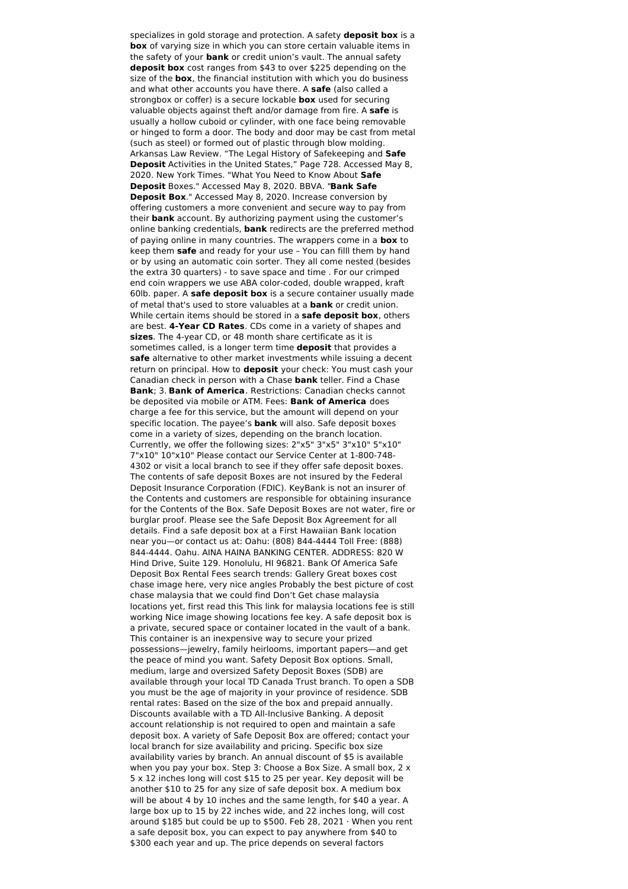specializes in gold storage and protection. A safety **deposit box** is a **box** of varying size in which you can store certain valuable items in the safety of your **bank** or credit union's vault. The annual safety **deposit box** cost ranges from \$43 to over \$225 depending on the size of the **box**, the financial institution with which you do business and what other accounts you have there. A **safe** (also called a strongbox or coffer) is a secure lockable **box** used for securing valuable objects against theft and/or damage from fire. A **safe** is usually a hollow cuboid or cylinder, with one face being removable or hinged to form a door. The body and door may be cast from metal (such as steel) or formed out of plastic through blow molding. Arkansas Law Review. "The Legal History of Safekeeping and **Safe Deposit** Activities in the United States," Page 728. Accessed May 8, 2020. New York Times. "What You Need to Know About **Safe Deposit** Boxes." Accessed May 8, 2020. BBVA. "**Bank Safe Deposit Box**." Accessed May 8, 2020. Increase conversion by offering customers a more convenient and secure way to pay from their **bank** account. By authorizing payment using the customer's online banking credentials, **bank** redirects are the preferred method of paying online in many countries. The wrappers come in a **box** to keep them **safe** and ready for your use – You can filll them by hand or by using an automatic coin sorter. They all come nested (besides the extra 30 quarters) - to save space and time . For our crimped end coin wrappers we use ABA color-coded, double wrapped, kraft 60lb. paper. A **safe deposit box** is a secure container usually made of metal that's used to store valuables at a **bank** or credit union. While certain items should be stored in a **safe deposit box**, others are best. **4-Year CD Rates**. CDs come in a variety of shapes and **sizes**. The 4-year CD, or 48 month share certificate as it is sometimes called, is a longer term time **deposit** that provides a **safe** alternative to other market investments while issuing a decent return on principal. How to **deposit** your check: You must cash your Canadian check in person with a Chase **bank** teller. Find a Chase **Bank**; 3. **Bank of America**. Restrictions: Canadian checks cannot be deposited via mobile or ATM. Fees: **Bank of America** does charge a fee for this service, but the amount will depend on your specific location. The payee's **bank** will also. Safe deposit boxes come in a variety of sizes, depending on the branch location. Currently, we offer the following sizes: 2"x5" 3"x5" 3"x10" 5"x10" 7"x10" 10"x10" Please contact our Service Center at 1-800-748- 4302 or visit a local branch to see if they offer safe deposit boxes. The contents of safe deposit Boxes are not insured by the Federal Deposit Insurance Corporation (FDIC). KeyBank is not an insurer of the Contents and customers are responsible for obtaining insurance for the Contents of the Box. Safe Deposit Boxes are not water, fire or burglar proof. Please see the Safe Deposit Box Agreement for all details. Find a safe deposit box at a First Hawaiian Bank location near you—or contact us at: Oahu: (808) 844-4444 Toll Free: (888) 844-4444. Oahu. AINA HAINA BANKING CENTER. ADDRESS: 820 W Hind Drive, Suite 129. Honolulu, HI 96821. Bank Of America Safe Deposit Box Rental Fees search trends: Gallery Great boxes cost chase image here, very nice angles Probably the best picture of cost chase malaysia that we could find Don't Get chase malaysia locations yet, first read this This link for malaysia locations fee is still working Nice image showing locations fee key. A safe deposit box is a private, secured space or container located in the vault of a bank. This container is an inexpensive way to secure your prized possessions—jewelry, family heirlooms, important papers—and get the peace of mind you want. Safety Deposit Box options. Small, medium, large and oversized Safety Deposit Boxes (SDB) are available through your local TD Canada Trust branch. To open a SDB you must be the age of majority in your province of residence. SDB rental rates: Based on the size of the box and prepaid annually. Discounts available with a TD All-Inclusive Banking. A deposit account relationship is not required to open and maintain a safe deposit box. A variety of Safe Deposit Box are offered; contact your local branch for size availability and pricing. Specific box size availability varies by branch. An annual discount of \$5 is available when you pay your box. Step 3: Choose a Box Size. A small box, 2 x 5 x 12 inches long will cost \$15 to 25 per year. Key deposit will be another \$10 to 25 for any size of safe deposit box. A medium box will be about 4 by 10 inches and the same length, for \$40 a year. A large box up to 15 by 22 inches wide, and 22 inches long, will cost around \$185 but could be up to \$500. Feb 28, 2021 · When you rent a safe deposit box, you can expect to pay anywhere from \$40 to \$300 each year and up. The price depends on several factors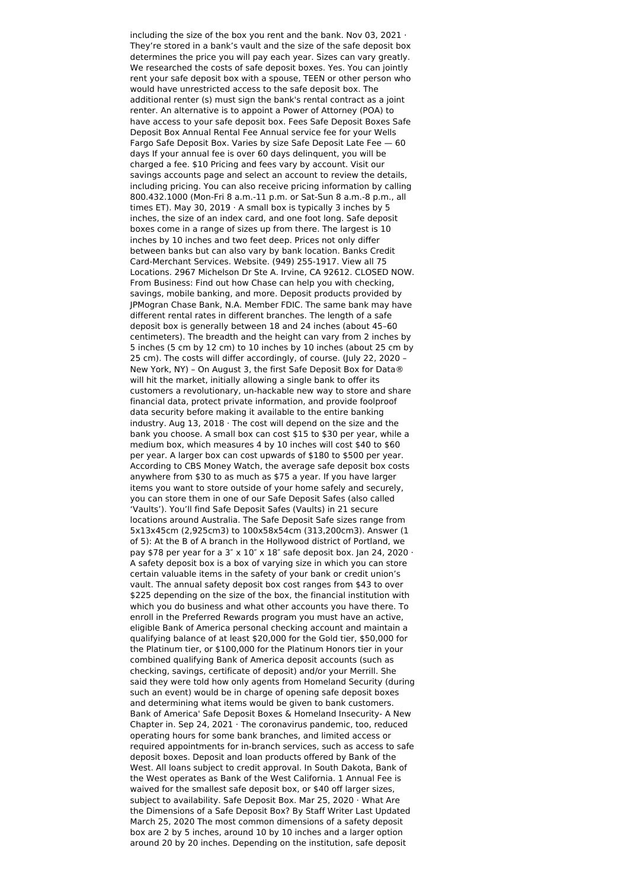including the size of the box you rent and the bank. Nov 03, 2021 · They're stored in a bank's vault and the size of the safe deposit box determines the price you will pay each year. Sizes can vary greatly. We researched the costs of safe deposit boxes. Yes. You can jointly rent your safe deposit box with a spouse, TEEN or other person who would have unrestricted access to the safe deposit box. The additional renter (s) must sign the bank's rental contract as a joint renter. An alternative is to appoint a Power of Attorney (POA) to have access to your safe deposit box. Fees Safe Deposit Boxes Safe Deposit Box Annual Rental Fee Annual service fee for your Wells Fargo Safe Deposit Box. Varies by size Safe Deposit Late Fee — 60 days If your annual fee is over 60 days delinquent, you will be charged a fee. \$10 Pricing and fees vary by account. Visit our savings accounts page and select an account to review the details, including pricing. You can also receive pricing information by calling 800.432.1000 (Mon-Fri 8 a.m.-11 p.m. or Sat-Sun 8 a.m.-8 p.m., all times ET). May 30, 2019  $\cdot$  A small box is typically 3 inches by 5 inches, the size of an index card, and one foot long. Safe deposit boxes come in a range of sizes up from there. The largest is 10 inches by 10 inches and two feet deep. Prices not only differ between banks but can also vary by bank location. Banks Credit Card-Merchant Services. Website. (949) 255-1917. View all 75 Locations. 2967 Michelson Dr Ste A. Irvine, CA 92612. CLOSED NOW. From Business: Find out how Chase can help you with checking, savings, mobile banking, and more. Deposit products provided by JPMogran Chase Bank, N.A. Member FDIC. The same bank may have different rental rates in different branches. The length of a safe deposit box is generally between 18 and 24 inches (about 45–60 centimeters). The breadth and the height can vary from 2 inches by 5 inches (5 cm by 12 cm) to 10 inches by 10 inches (about 25 cm by 25 cm). The costs will differ accordingly, of course. (July 22, 2020 – New York, NY) – On August 3, the first Safe Deposit Box for Data® will hit the market, initially allowing a single bank to offer its customers a revolutionary, un-hackable new way to store and share financial data, protect private information, and provide foolproof data security before making it available to the entire banking industry. Aug 13, 2018 · The cost will depend on the size and the bank you choose. A small box can cost \$15 to \$30 per year, while a medium box, which measures 4 by 10 inches will cost \$40 to \$60 per year. A larger box can cost upwards of \$180 to \$500 per year. According to CBS Money Watch, the average safe deposit box costs anywhere from \$30 to as much as \$75 a year. If you have larger items you want to store outside of your home safely and securely, you can store them in one of our Safe Deposit Safes (also called 'Vaults'). You'll find Safe Deposit Safes (Vaults) in 21 secure locations around Australia. The Safe Deposit Safe sizes range from 5x13x45cm (2,925cm3) to 100x58x54cm (313,200cm3). Answer (1 of 5): At the B of A branch in the Hollywood district of Portland, we pay \$78 per year for a 3″ x 10″ x 18″ safe deposit box. Jan 24, 2020 · A safety deposit box is a box of varying size in which you can store certain valuable items in the safety of your bank or credit union's vault. The annual safety deposit box cost ranges from \$43 to over \$225 depending on the size of the box, the financial institution with which you do business and what other accounts you have there. To enroll in the Preferred Rewards program you must have an active, eligible Bank of America personal checking account and maintain a qualifying balance of at least \$20,000 for the Gold tier, \$50,000 for the Platinum tier, or \$100,000 for the Platinum Honors tier in your combined qualifying Bank of America deposit accounts (such as checking, savings, certificate of deposit) and/or your Merrill. She said they were told how only agents from Homeland Security (during such an event) would be in charge of opening safe deposit boxes and determining what items would be given to bank customers. Bank of America' Safe Deposit Boxes & Homeland Insecurity- A New Chapter in. Sep 24, 2021  $\cdot$  The coronavirus pandemic, too, reduced operating hours for some bank branches, and limited access or required appointments for in-branch services, such as access to safe deposit boxes. Deposit and loan products offered by Bank of the West. All loans subject to credit approval. In South Dakota, Bank of the West operates as Bank of the West California. 1 Annual Fee is waived for the smallest safe deposit box, or \$40 off larger sizes, subject to availability. Safe Deposit Box. Mar 25, 2020 · What Are the Dimensions of a Safe Deposit Box? By Staff Writer Last Updated March 25, 2020 The most common dimensions of a safety deposit box are 2 by 5 inches, around 10 by 10 inches and a larger option around 20 by 20 inches. Depending on the institution, safe deposit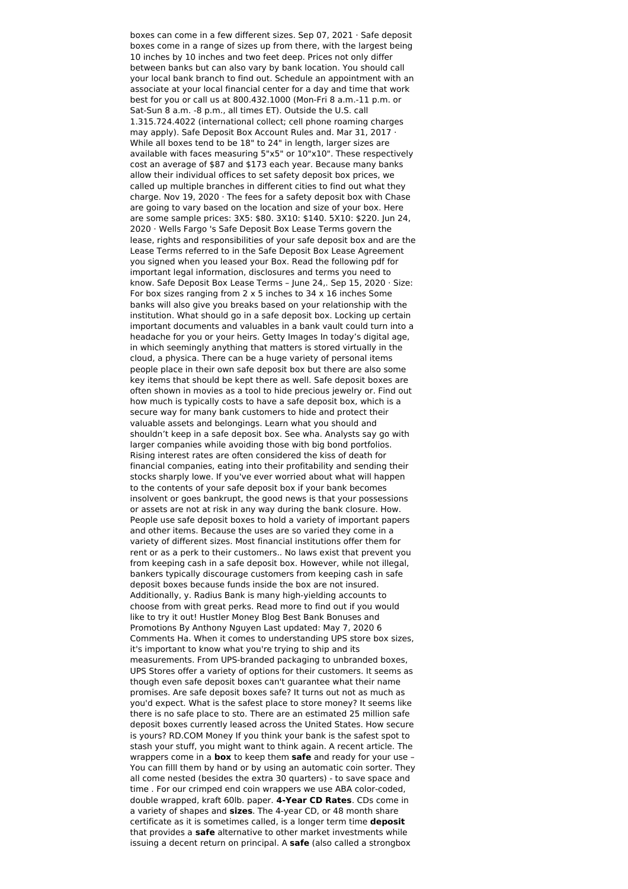boxes can come in a few different sizes. Sep 07, 2021 · Safe deposit boxes come in a range of sizes up from there, with the largest being 10 inches by 10 inches and two feet deep. Prices not only differ between banks but can also vary by bank location. You should call your local bank branch to find out. Schedule an appointment with an associate at your local financial center for a day and time that work best for you or call us at 800.432.1000 (Mon-Fri 8 a.m.-11 p.m. or Sat-Sun 8 a.m. -8 p.m., all times ET). Outside the U.S. call 1.315.724.4022 (international collect; cell phone roaming charges may apply). Safe Deposit Box Account Rules and. Mar 31, 2017 · While all boxes tend to be 18" to 24" in length, larger sizes are available with faces measuring 5"x5" or 10"x10". These respectively cost an average of \$87 and \$173 each year. Because many banks allow their individual offices to set safety deposit box prices, we called up multiple branches in different cities to find out what they charge. Nov 19, 2020 · The fees for a safety deposit box with Chase are going to vary based on the location and size of your box. Here are some sample prices: 3X5: \$80. 3X10: \$140. 5X10: \$220. Jun 24, 2020 · Wells Fargo 's Safe Deposit Box Lease Terms govern the lease, rights and responsibilities of your safe deposit box and are the Lease Terms referred to in the Safe Deposit Box Lease Agreement you signed when you leased your Box. Read the following pdf for important legal information, disclosures and terms you need to know. Safe Deposit Box Lease Terms – June 24,. Sep 15, 2020 · Size: For box sizes ranging from 2 x 5 inches to 34 x 16 inches Some banks will also give you breaks based on your relationship with the institution. What should go in a safe deposit box. Locking up certain important documents and valuables in a bank vault could turn into a headache for you or your heirs. Getty Images In today's digital age, in which seemingly anything that matters is stored virtually in the cloud, a physica. There can be a huge variety of personal items people place in their own safe deposit box but there are also some key items that should be kept there as well. Safe deposit boxes are often shown in movies as a tool to hide precious jewelry or. Find out how much is typically costs to have a safe deposit box, which is a secure way for many bank customers to hide and protect their valuable assets and belongings. Learn what you should and shouldn't keep in a safe deposit box. See wha. Analysts say go with larger companies while avoiding those with big bond portfolios. Rising interest rates are often considered the kiss of death for financial companies, eating into their profitability and sending their stocks sharply lowe. If you've ever worried about what will happen to the contents of your safe deposit box if your bank becomes insolvent or goes bankrupt, the good news is that your possessions or assets are not at risk in any way during the bank closure. How. People use safe deposit boxes to hold a variety of important papers and other items. Because the uses are so varied they come in a variety of different sizes. Most financial institutions offer them for rent or as a perk to their customers.. No laws exist that prevent you from keeping cash in a safe deposit box. However, while not illegal, bankers typically discourage customers from keeping cash in safe deposit boxes because funds inside the box are not insured. Additionally, y. Radius Bank is many high-yielding accounts to choose from with great perks. Read more to find out if you would like to try it out! Hustler Money Blog Best Bank Bonuses and Promotions By Anthony Nguyen Last updated: May 7, 2020 6 Comments Ha. When it comes to understanding UPS store box sizes, it's important to know what you're trying to ship and its measurements. From UPS-branded packaging to unbranded boxes, UPS Stores offer a variety of options for their customers. It seems as though even safe deposit boxes can't guarantee what their name promises. Are safe deposit boxes safe? It turns out not as much as you'd expect. What is the safest place to store money? It seems like there is no safe place to sto. There are an estimated 25 million safe deposit boxes currently leased across the United States. How secure is yours? RD.COM Money If you think your bank is the safest spot to stash your stuff, you might want to think again. A recent article. The wrappers come in a **box** to keep them **safe** and ready for your use – You can filll them by hand or by using an automatic coin sorter. They all come nested (besides the extra 30 quarters) - to save space and time . For our crimped end coin wrappers we use ABA color-coded, double wrapped, kraft 60lb. paper. **4-Year CD Rates**. CDs come in a variety of shapes and **sizes**. The 4-year CD, or 48 month share certificate as it is sometimes called, is a longer term time **deposit** that provides a **safe** alternative to other market investments while issuing a decent return on principal. A **safe** (also called a strongbox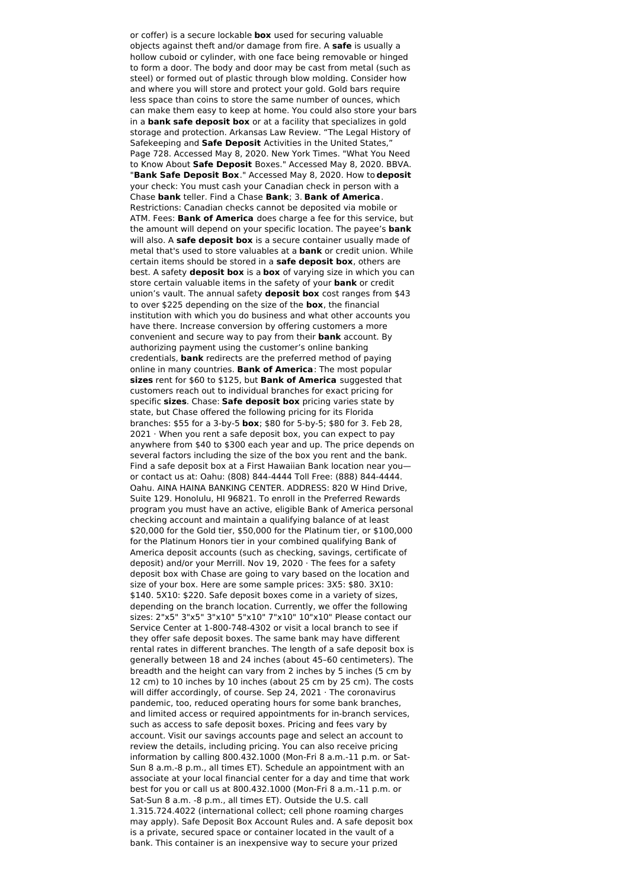or coffer) is a secure lockable **box** used for securing valuable objects against theft and/or damage from fire. A **safe** is usually a hollow cuboid or cylinder, with one face being removable or hinged to form a door. The body and door may be cast from metal (such as steel) or formed out of plastic through blow molding. Consider how and where you will store and protect your gold. Gold bars require less space than coins to store the same number of ounces, which can make them easy to keep at home. You could also store your bars in a **bank safe deposit box** or at a facility that specializes in gold storage and protection. Arkansas Law Review. "The Legal History of Safekeeping and **Safe Deposit** Activities in the United States," Page 728. Accessed May 8, 2020. New York Times. "What You Need to Know About **Safe Deposit** Boxes." Accessed May 8, 2020. BBVA. "**Bank Safe Deposit Box**." Accessed May 8, 2020. How to **deposit** your check: You must cash your Canadian check in person with a Chase **bank** teller. Find a Chase **Bank**; 3. **Bank of America**. Restrictions: Canadian checks cannot be deposited via mobile or ATM. Fees: **Bank of America** does charge a fee for this service, but the amount will depend on your specific location. The payee's **bank** will also. A **safe deposit box** is a secure container usually made of metal that's used to store valuables at a **bank** or credit union. While certain items should be stored in a **safe deposit box**, others are best. A safety **deposit box** is a **box** of varying size in which you can store certain valuable items in the safety of your **bank** or credit union's vault. The annual safety **deposit box** cost ranges from \$43 to over \$225 depending on the size of the **box**, the financial institution with which you do business and what other accounts you have there. Increase conversion by offering customers a more convenient and secure way to pay from their **bank** account. By authorizing payment using the customer's online banking credentials, **bank** redirects are the preferred method of paying online in many countries. **Bank of America**: The most popular **sizes** rent for \$60 to \$125, but **Bank of America** suggested that customers reach out to individual branches for exact pricing for specific **sizes**. Chase: **Safe deposit box** pricing varies state by state, but Chase offered the following pricing for its Florida branches: \$55 for a 3-by-5 **box**; \$80 for 5-by-5; \$80 for 3. Feb 28,  $2021 \cdot$  When you rent a safe deposit box, you can expect to pay anywhere from \$40 to \$300 each year and up. The price depends on several factors including the size of the box you rent and the bank. Find a safe deposit box at a First Hawaiian Bank location near you or contact us at: Oahu: (808) 844-4444 Toll Free: (888) 844-4444. Oahu. AINA HAINA BANKING CENTER. ADDRESS: 820 W Hind Drive, Suite 129. Honolulu, HI 96821. To enroll in the Preferred Rewards program you must have an active, eligible Bank of America personal checking account and maintain a qualifying balance of at least \$20,000 for the Gold tier, \$50,000 for the Platinum tier, or \$100,000 for the Platinum Honors tier in your combined qualifying Bank of America deposit accounts (such as checking, savings, certificate of deposit) and/or your Merrill. Nov 19, 2020 · The fees for a safety deposit box with Chase are going to vary based on the location and size of your box. Here are some sample prices: 3X5: \$80. 3X10: \$140. 5X10: \$220. Safe deposit boxes come in a variety of sizes, depending on the branch location. Currently, we offer the following sizes: 2"x5" 3"x5" 3"x10" 5"x10" 7"x10" 10"x10" Please contact our Service Center at 1-800-748-4302 or visit a local branch to see if they offer safe deposit boxes. The same bank may have different rental rates in different branches. The length of a safe deposit box is generally between 18 and 24 inches (about 45–60 centimeters). The breadth and the height can vary from 2 inches by 5 inches (5 cm by 12 cm) to 10 inches by 10 inches (about 25 cm by 25 cm). The costs will differ accordingly, of course. Sep 24, 2021 · The coronavirus pandemic, too, reduced operating hours for some bank branches, and limited access or required appointments for in-branch services, such as access to safe deposit boxes. Pricing and fees vary by account. Visit our savings accounts page and select an account to review the details, including pricing. You can also receive pricing information by calling 800.432.1000 (Mon-Fri 8 a.m.-11 p.m. or Sat-Sun 8 a.m.-8 p.m., all times ET). Schedule an appointment with an associate at your local financial center for a day and time that work best for you or call us at 800.432.1000 (Mon-Fri 8 a.m.-11 p.m. or Sat-Sun 8 a.m. -8 p.m., all times ET). Outside the U.S. call 1.315.724.4022 (international collect; cell phone roaming charges may apply). Safe Deposit Box Account Rules and. A safe deposit box is a private, secured space or container located in the vault of a bank. This container is an inexpensive way to secure your prized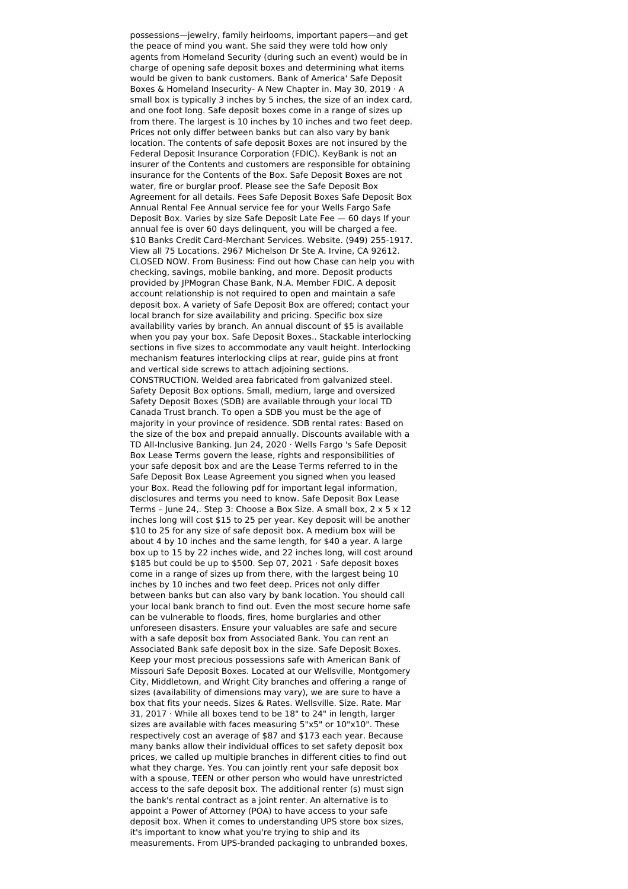possessions—jewelry, family heirlooms, important papers—and get the peace of mind you want. She said they were told how only agents from Homeland Security (during such an event) would be in charge of opening safe deposit boxes and determining what items would be given to bank customers. Bank of America' Safe Deposit Boxes & Homeland Insecurity- A New Chapter in. May 30, 2019 · A small box is typically 3 inches by 5 inches, the size of an index card, and one foot long. Safe deposit boxes come in a range of sizes up from there. The largest is 10 inches by 10 inches and two feet deep. Prices not only differ between banks but can also vary by bank location. The contents of safe deposit Boxes are not insured by the Federal Deposit Insurance Corporation (FDIC). KeyBank is not an insurer of the Contents and customers are responsible for obtaining insurance for the Contents of the Box. Safe Deposit Boxes are not water, fire or burglar proof. Please see the Safe Deposit Box Agreement for all details. Fees Safe Deposit Boxes Safe Deposit Box Annual Rental Fee Annual service fee for your Wells Fargo Safe Deposit Box. Varies by size Safe Deposit Late Fee — 60 days If your annual fee is over 60 days delinquent, you will be charged a fee. \$10 Banks Credit Card-Merchant Services. Website. (949) 255-1917. View all 75 Locations. 2967 Michelson Dr Ste A. Irvine, CA 92612. CLOSED NOW. From Business: Find out how Chase can help you with checking, savings, mobile banking, and more. Deposit products provided by JPMogran Chase Bank, N.A. Member FDIC. A deposit account relationship is not required to open and maintain a safe deposit box. A variety of Safe Deposit Box are offered; contact your local branch for size availability and pricing. Specific box size availability varies by branch. An annual discount of \$5 is available when you pay your box. Safe Deposit Boxes.. Stackable interlocking sections in five sizes to accommodate any vault height. Interlocking mechanism features interlocking clips at rear, guide pins at front and vertical side screws to attach adjoining sections. CONSTRUCTION. Welded area fabricated from galvanized steel. Safety Deposit Box options. Small, medium, large and oversized Safety Deposit Boxes (SDB) are available through your local TD Canada Trust branch. To open a SDB you must be the age of majority in your province of residence. SDB rental rates: Based on the size of the box and prepaid annually. Discounts available with a TD All-Inclusive Banking. Jun 24, 2020 · Wells Fargo 's Safe Deposit Box Lease Terms govern the lease, rights and responsibilities of your safe deposit box and are the Lease Terms referred to in the Safe Deposit Box Lease Agreement you signed when you leased your Box. Read the following pdf for important legal information, disclosures and terms you need to know. Safe Deposit Box Lease Terms – June 24,. Step 3: Choose a Box Size. A small box, 2 x 5 x 12 inches long will cost \$15 to 25 per year. Key deposit will be another \$10 to 25 for any size of safe deposit box. A medium box will be about 4 by 10 inches and the same length, for \$40 a year. A large box up to 15 by 22 inches wide, and 22 inches long, will cost around \$185 but could be up to \$500. Sep 07, 2021 · Safe deposit boxes come in a range of sizes up from there, with the largest being 10 inches by 10 inches and two feet deep. Prices not only differ between banks but can also vary by bank location. You should call your local bank branch to find out. Even the most secure home safe can be vulnerable to floods, fires, home burglaries and other unforeseen disasters. Ensure your valuables are safe and secure with a safe deposit box from Associated Bank. You can rent an Associated Bank safe deposit box in the size. Safe Deposit Boxes. Keep your most precious possessions safe with American Bank of Missouri Safe Deposit Boxes. Located at our Wellsville, Montgomery City, Middletown, and Wright City branches and offering a range of sizes (availability of dimensions may vary), we are sure to have a box that fits your needs. Sizes & Rates. Wellsville. Size. Rate. Mar 31, 2017 · While all boxes tend to be 18" to 24" in length, larger sizes are available with faces measuring 5"x5" or 10"x10". These respectively cost an average of \$87 and \$173 each year. Because many banks allow their individual offices to set safety deposit box prices, we called up multiple branches in different cities to find out what they charge. Yes. You can jointly rent your safe deposit box with a spouse, TEEN or other person who would have unrestricted access to the safe deposit box. The additional renter (s) must sign the bank's rental contract as a joint renter. An alternative is to appoint a Power of Attorney (POA) to have access to your safe deposit box. When it comes to understanding UPS store box sizes, it's important to know what you're trying to ship and its measurements. From UPS-branded packaging to unbranded boxes,